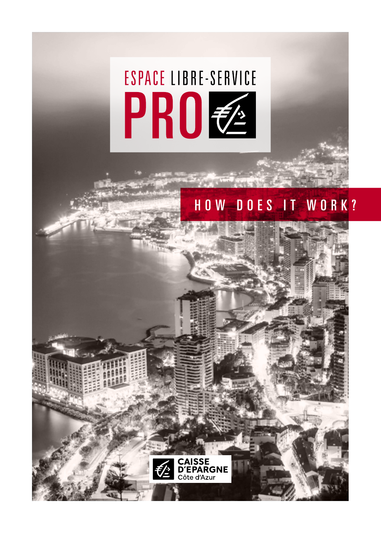# **ESPACE LIBRE-SERVICE** PRO Z

**CAISSE<br>D'EPARGNE** --- - --- -<br>ôte d'Azur

# HOW DOES IT WORK?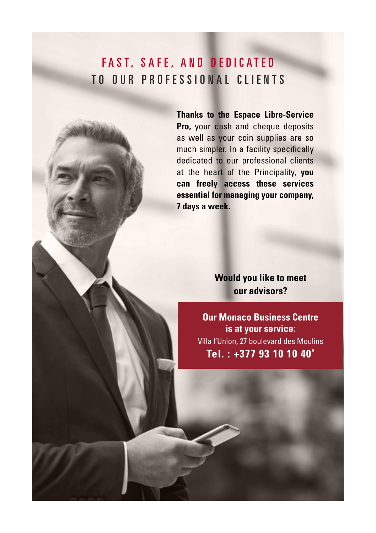# FAST, SAFE, AND DEDICATED TO OUR PROFESSIONAL CLIENTS

**Thanks to the Espace Libre-Service Pro,** your cash and cheque deposits as well as your coin supplies are so much simpler. In a facility specifically dedicated to our professional clients at the heart of the Principality, **you can freely access these services essential for managing your company, 7 days a week.**

> **Would you like to meet our advisors?**

**Our Monaco Business Centre is at your service:** Villa l'Union, 27 boulevard des Moulins **Tel. : +377 93 10 10 40\***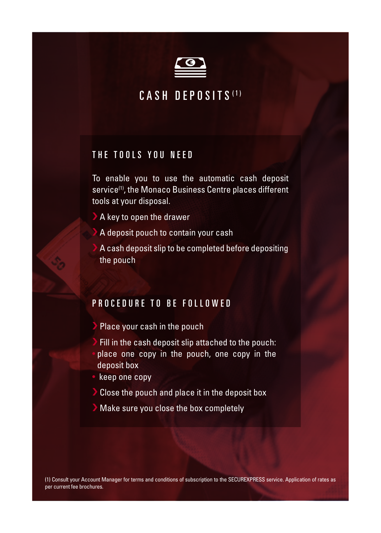

### CASH DEPOSITS (1)

#### THE TOOLS YOU NEED

To enable you to use the automatic cash deposit service<sup>(1)</sup>, the Monaco Business Centre places different tools at your disposal.

- A key to open the drawer
- A deposit pouch to contain your cash
- A cash deposit slip to be completed before depositing the pouch

#### PROCEDURE TO BE FOLLOWED

- Place your cash in the pouch
- Fill in the cash deposit slip attached to the pouch: • place one copy in the pouch, one copy in the deposit box
- keep one copy
- › Close the pouch and place it in the deposit box
- › Make sure you close the box completely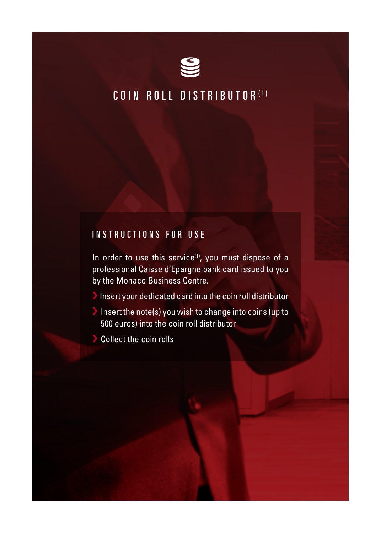

# COIN ROLL DISTRIBUTOR (1)

#### INSTRUCTIONS FOR USE

In order to use this service $(1)$ , you must dispose of a professional Caisse d'Epargne bank card issued to you by the Monaco Business Centre.

 $\blacktriangleright$  Insert your dedicated card into the coin roll distributor

- › Insert the note(s) you wish to change into coins (up to 500 euros) into the coin roll distributor
- Collect the coin rolls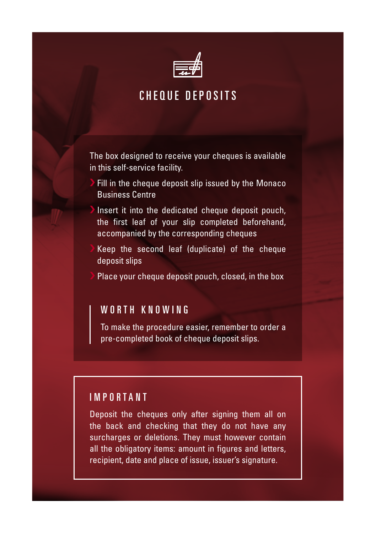

## CHEQUE DEPOSITS

The box designed to receive your cheques is available in this self-service facility.

- Fill in the cheque deposit slip issued by the Monaco Business Centre
- Insert it into the dedicated cheque deposit pouch, the first leaf of your slip completed beforehand, accompanied by the corresponding cheques
- Keep the second leaf (duplicate) of the cheque deposit slips
- Place your cheque deposit pouch, closed, in the box

#### WORTH KNOWING

To make the procedure easier, remember to order a pre-completed book of cheque deposit slips.

#### IMPORTANT

Deposit the cheques only after signing them all on the back and checking that they do not have any surcharges or deletions. They must however contain all the obligatory items: amount in figures and letters, recipient, date and place of issue, issuer's signature.